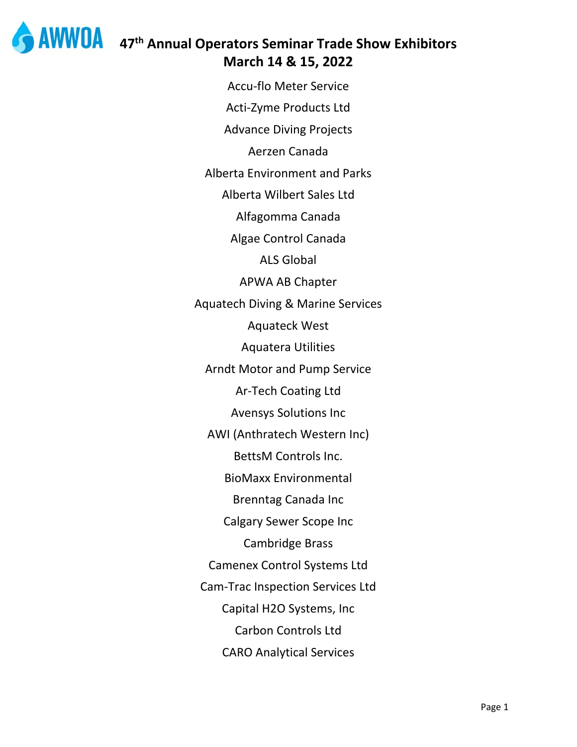

 $AWWOA$  47<sup>th</sup> Annual Operators Seminar Trade Show Exhibitors March 14 & 15, 2022

> **Accu-flo Meter Service** Acti-Zyme Products Ltd **Advance Diving Projects** Aerzen Canada **Alberta Environment and Parks** Alberta Wilbert Sales Ltd Alfagomma Canada Algae Control Canada **ALS Global APWA AB Chapter Aquatech Diving & Marine Services Aquateck West Aquatera Utilities Arndt Motor and Pump Service Ar-Tech Coating Ltd Avensys Solutions Inc** AWI (Anthratech Western Inc) **BettsM Controls Inc. BioMaxx Environmental Brenntag Canada Inc Calgary Sewer Scope Inc Cambridge Brass Camenex Control Systems Ltd Cam-Trac Inspection Services Ltd** Capital H2O Systems, Inc Carbon Controls Ltd **CARO Analytical Services**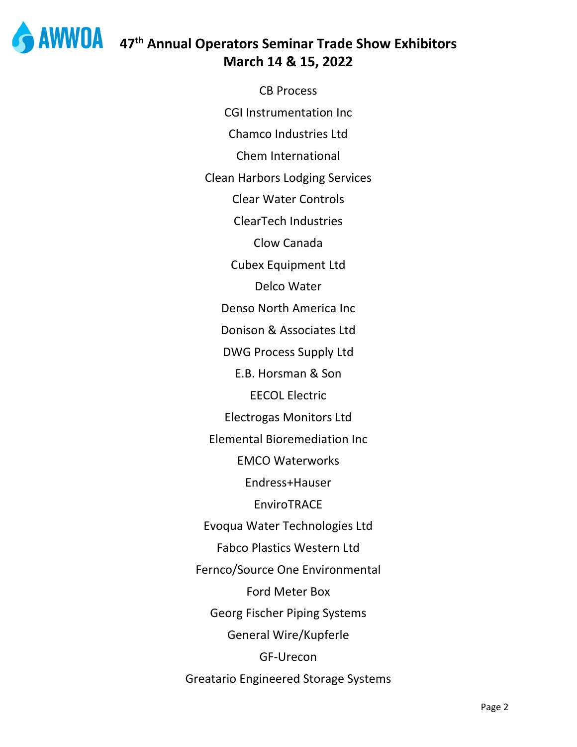

## **WWOA** 47<sup>th</sup> Annual Operators Seminar Trade Show Exhibitors **March 14 & 15, 2022**

CB Process CGI Instrumentation Inc Chamco Industries Ltd Chem International Clean Harbors Lodging Services Clear Water Controls ClearTech Industries Clow Canada Cubex Equipment Ltd Delco Water Denso North America Inc Donison & Associates Ltd DWG Process Supply Ltd E.B. Horsman & Son EECOL Electric Electrogas Monitors Ltd Elemental Bioremediation Inc EMCO Waterworks Endress+Hauser EnviroTRACE Evoqua Water Technologies Ltd Fabco Plastics Western Ltd Fernco/Source One Environmental Ford Meter Box Georg Fischer Piping Systems General Wire/Kupferle GF‐Urecon Greatario Engineered Storage Systems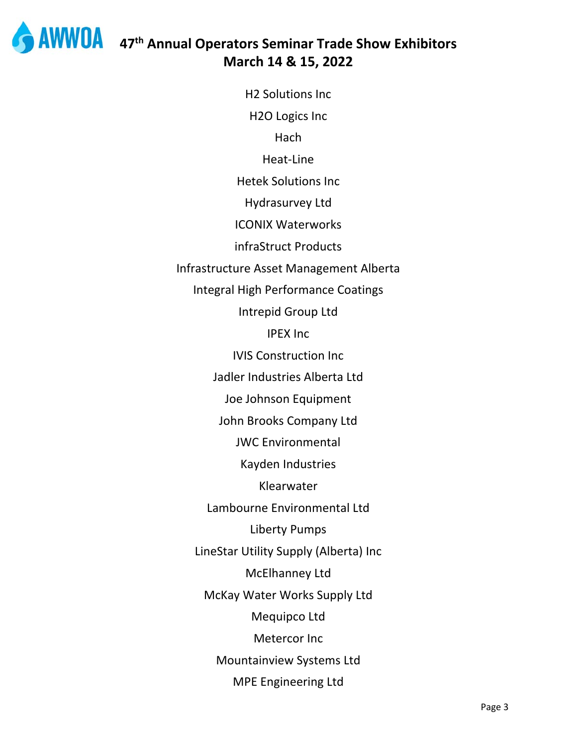

## **47th Annual Operators Seminar Trade Show Exhibitors March 14 & 15, 2022**

H2 Solutions Inc H2O Logics Inc Hach Heat‐Line Hetek Solutions Inc Hydrasurvey Ltd ICONIX Waterworks infraStruct Products Infrastructure Asset Management Alberta Integral High Performance Coatings Intrepid Group Ltd IPEX Inc IVIS Construction Inc Jadler Industries Alberta Ltd Joe Johnson Equipment John Brooks Company Ltd JWC Environmental Kayden Industries Klearwater Lambourne Environmental Ltd Liberty Pumps LineStar Utility Supply (Alberta) Inc McElhanney Ltd McKay Water Works Supply Ltd Mequipco Ltd Metercor Inc Mountainview Systems Ltd MPE Engineering Ltd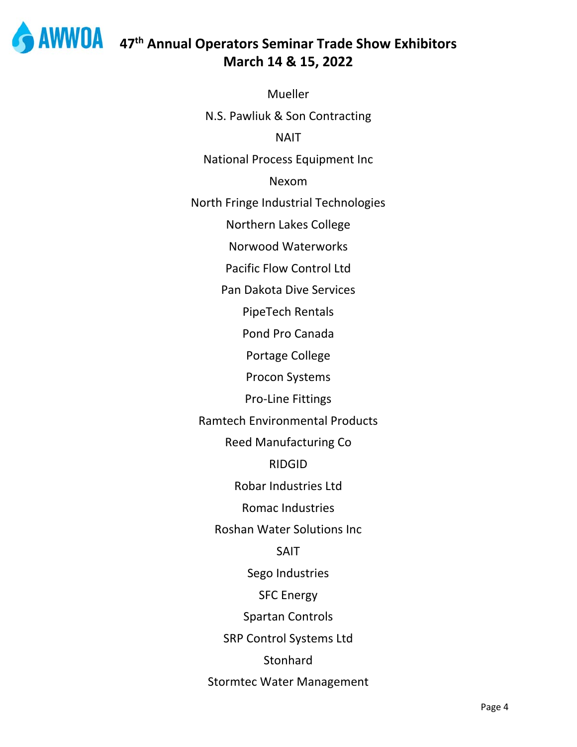

## **47th Annual Operators Seminar Trade Show Exhibitors March 14 & 15, 2022**

**Mueller** N.S. Pawliuk & Son Contracting NAIT National Process Equipment Inc Nexom North Fringe Industrial Technologies Northern Lakes College Norwood Waterworks Pacific Flow Control Ltd Pan Dakota Dive Services PipeTech Rentals Pond Pro Canada Portage College Procon Systems Pro‐Line Fittings Ramtech Environmental Products Reed Manufacturing Co RIDGID Robar Industries Ltd Romac Industries Roshan Water Solutions Inc SAIT Sego Industries SFC Energy Spartan Controls SRP Control Systems Ltd **Stonhard** Stormtec Water Management